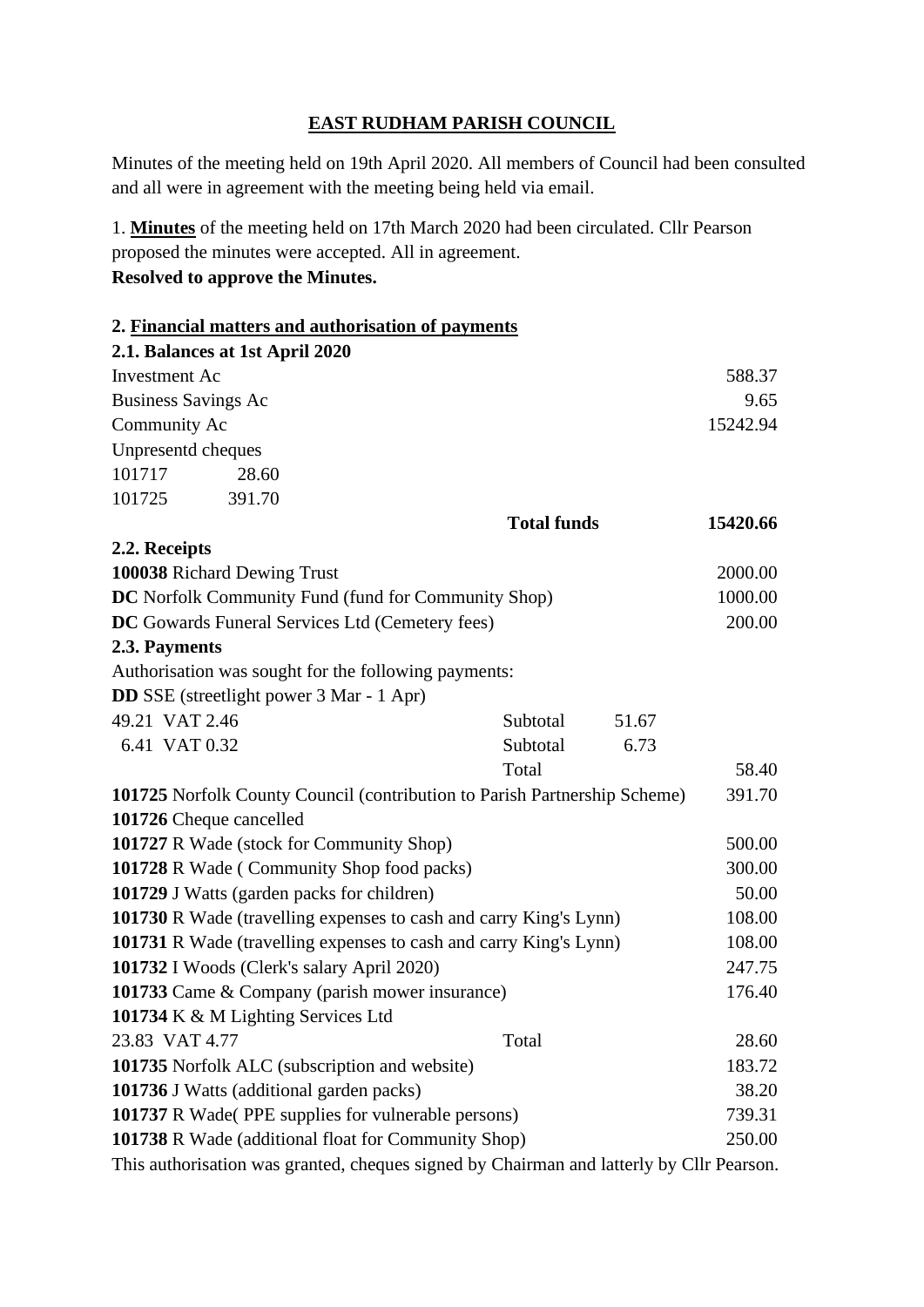## **EAST RUDHAM PARISH COUNCIL**

Minutes of the meeting held on 19th April 2020. All members of Council had been consulted and all were in agreement with the meeting being held via email.

1. **Minutes** of the meeting held on 17th March 2020 had been circulated. Cllr Pearson proposed the minutes were accepted. All in agreement. **Resolved to approve the Minutes.**

|                                                                   |                                                 | 2. Financial matters and authorisation of payments                                       |          |       |          |
|-------------------------------------------------------------------|-------------------------------------------------|------------------------------------------------------------------------------------------|----------|-------|----------|
|                                                                   | 2.1. Balances at 1st April 2020                 |                                                                                          |          |       |          |
| <b>Investment Ac</b>                                              |                                                 |                                                                                          |          |       | 588.37   |
| <b>Business Savings Ac</b>                                        |                                                 |                                                                                          |          |       | 9.65     |
| Community Ac                                                      |                                                 |                                                                                          |          |       | 15242.94 |
| Unpresentd cheques                                                |                                                 |                                                                                          |          |       |          |
| 101717                                                            | 28.60                                           |                                                                                          |          |       |          |
| 101725                                                            | 391.70                                          |                                                                                          |          |       |          |
|                                                                   |                                                 | <b>Total funds</b>                                                                       |          |       | 15420.66 |
| 2.2. Receipts                                                     |                                                 |                                                                                          |          |       |          |
| 100038 Richard Dewing Trust                                       |                                                 |                                                                                          |          |       | 2000.00  |
| DC Norfolk Community Fund (fund for Community Shop)               |                                                 |                                                                                          |          |       | 1000.00  |
| DC Gowards Funeral Services Ltd (Cemetery fees)                   |                                                 |                                                                                          |          |       | 200.00   |
| 2.3. Payments                                                     |                                                 |                                                                                          |          |       |          |
|                                                                   |                                                 | Authorisation was sought for the following payments:                                     |          |       |          |
|                                                                   | <b>DD</b> SSE (streetlight power 3 Mar - 1 Apr) |                                                                                          |          |       |          |
| 49.21 VAT 2.46                                                    |                                                 |                                                                                          | Subtotal | 51.67 |          |
| 6.41 VAT 0.32                                                     |                                                 |                                                                                          | Subtotal | 6.73  |          |
|                                                                   |                                                 |                                                                                          | Total    |       | 58.40    |
|                                                                   |                                                 | 101725 Norfolk County Council (contribution to Parish Partnership Scheme)                |          |       | 391.70   |
| 101726 Cheque cancelled                                           |                                                 |                                                                                          |          |       |          |
| 101727 R Wade (stock for Community Shop)                          |                                                 |                                                                                          |          |       | 500.00   |
| 101728 R Wade (Community Shop food packs)                         |                                                 |                                                                                          |          |       | 300.00   |
| 101729 J Watts (garden packs for children)                        |                                                 |                                                                                          |          |       | 50.00    |
| 101730 R Wade (travelling expenses to cash and carry King's Lynn) |                                                 |                                                                                          |          |       | 108.00   |
| 101731 R Wade (travelling expenses to cash and carry King's Lynn) |                                                 |                                                                                          |          |       | 108.00   |
| 101732 I Woods (Clerk's salary April 2020)                        |                                                 |                                                                                          |          |       | 247.75   |
| 101733 Came & Company (parish mower insurance)                    |                                                 |                                                                                          |          |       | 176.40   |
|                                                                   | 101734 K & M Lighting Services Ltd              |                                                                                          |          |       |          |
| 23.83 VAT 4.77                                                    |                                                 |                                                                                          | Total    |       | 28.60    |
| 101735 Norfolk ALC (subscription and website)                     |                                                 |                                                                                          |          |       | 183.72   |
| 101736 J Watts (additional garden packs)                          |                                                 |                                                                                          |          |       | 38.20    |
| <b>101737</b> R Wade (PPE supplies for vulnerable persons)        |                                                 |                                                                                          |          |       | 739.31   |
| 101738 R Wade (additional float for Community Shop)               |                                                 |                                                                                          |          |       | 250.00   |
|                                                                   |                                                 | This authorisation was granted, cheques signed by Chairman and latterly by Cllr Pearson. |          |       |          |